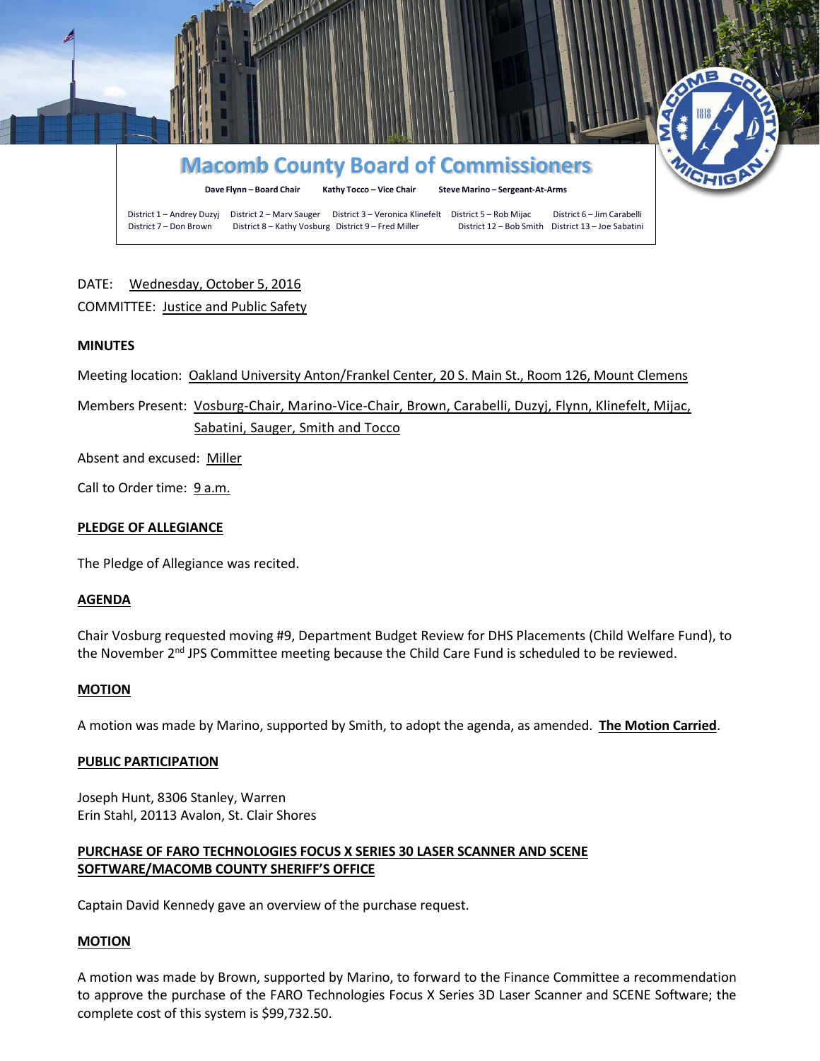

# DATE: Wednesday, October 5, 2016

# COMMITTEE: Justice and Public Safety

# **MINUTES**

Meeting location: Oakland University Anton/Frankel Center, 20 S. Main St., Room 126, Mount Clemens

Members Present: Vosburg-Chair, Marino-Vice-Chair, Brown, Carabelli, Duzyj, Flynn, Klinefelt, Mijac, Sabatini, Sauger, Smith and Tocco

Absent and excused: Miller

Call to Order time: 9 a.m.

### **PLEDGE OF ALLEGIANCE**

The Pledge of Allegiance was recited.

#### **AGENDA**

Chair Vosburg requested moving #9, Department Budget Review for DHS Placements (Child Welfare Fund), to the November 2<sup>nd</sup> JPS Committee meeting because the Child Care Fund is scheduled to be reviewed.

#### **MOTION**

A motion was made by Marino, supported by Smith, to adopt the agenda, as amended. **The Motion Carried**.

#### **PUBLIC PARTICIPATION**

Joseph Hunt, 8306 Stanley, Warren Erin Stahl, 20113 Avalon, St. Clair Shores

# **PURCHASE OF FARO TECHNOLOGIES FOCUS X SERIES 30 LASER SCANNER AND SCENE SOFTWARE/MACOMB COUNTY SHERIFF'S OFFICE**

Captain David Kennedy gave an overview of the purchase request.

#### **MOTION**

A motion was made by Brown, supported by Marino, to forward to the Finance Committee a recommendation to approve the purchase of the FARO Technologies Focus X Series 3D Laser Scanner and SCENE Software; the complete cost of this system is \$99,732.50.